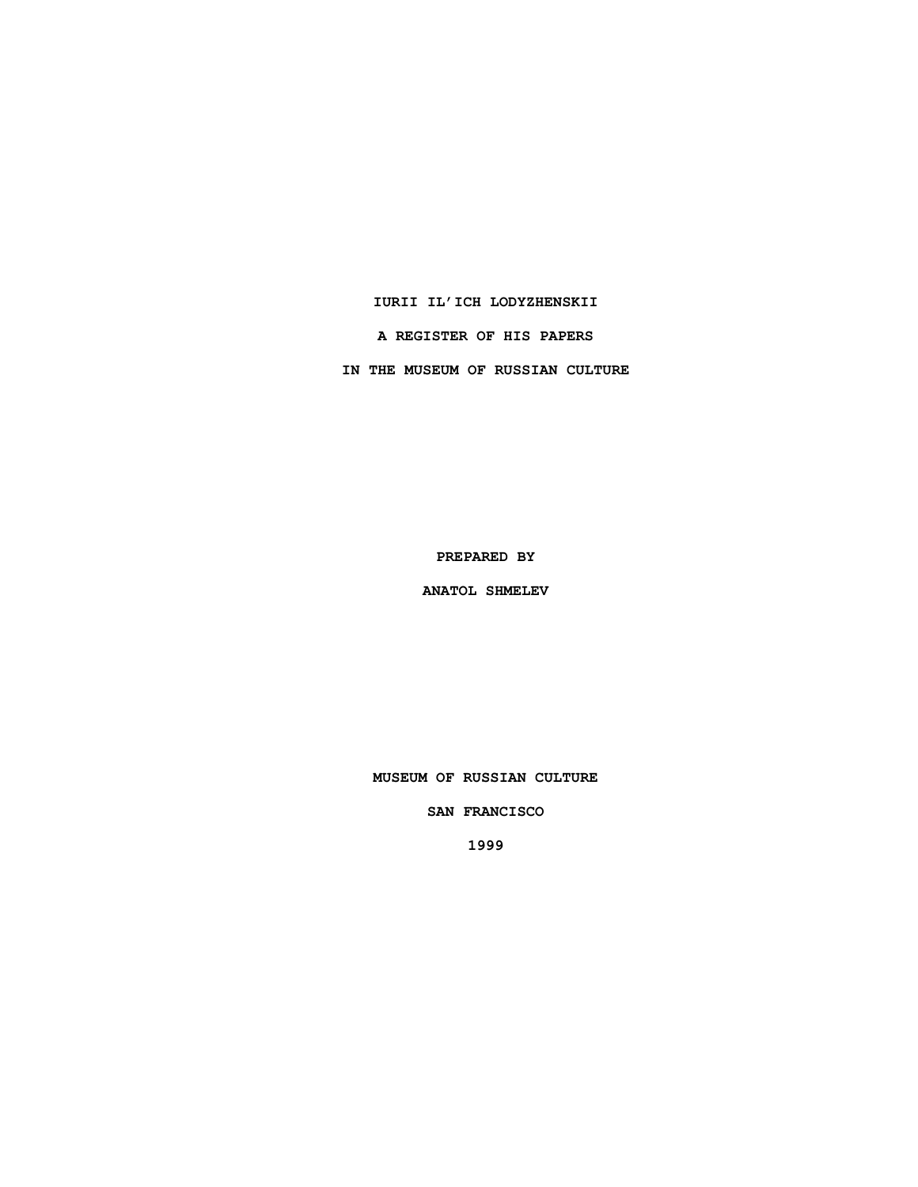### **IURII IL'ICH LODYZHENSKII**

**A REGISTER OF HIS PAPERS**

**IN THE MUSEUM OF RUSSIAN CULTURE**

**PREPARED BY**

**ANATOL SHMELEV**

**MUSEUM OF RUSSIAN CULTURE**

**SAN FRANCISCO**

**1999**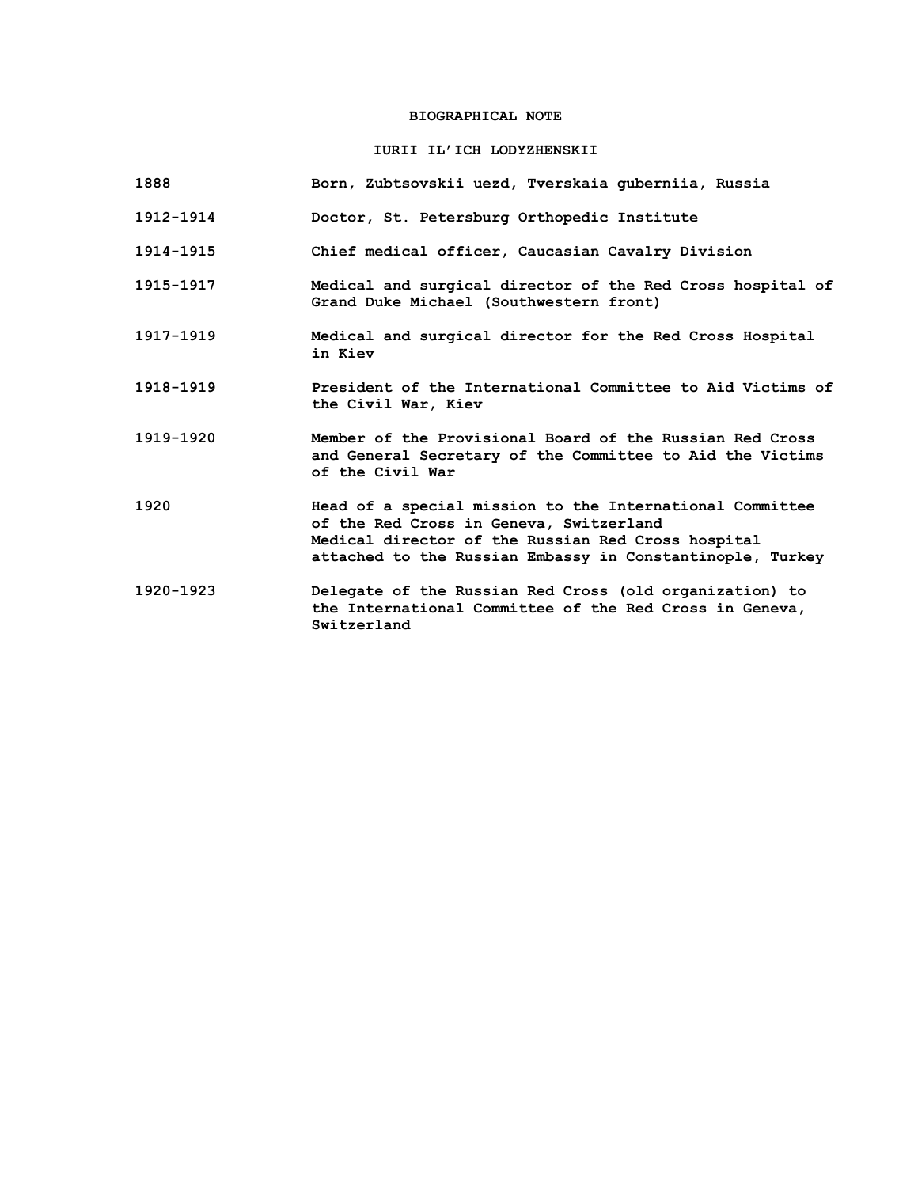# **BIOGRAPHICAL NOTE**

# **IURII IL'ICH LODYZHENSKII**

| 1888      | Born, Zubtsovskii uezd, Tverskaia quberniia, Russia                                                                                                                                                                    |
|-----------|------------------------------------------------------------------------------------------------------------------------------------------------------------------------------------------------------------------------|
| 1912-1914 | Doctor, St. Petersburg Orthopedic Institute                                                                                                                                                                            |
| 1914-1915 | Chief medical officer, Caucasian Cavalry Division                                                                                                                                                                      |
| 1915-1917 | Medical and surgical director of the Red Cross hospital of<br>Grand Duke Michael (Southwestern front)                                                                                                                  |
| 1917-1919 | Medical and surgical director for the Red Cross Hospital<br>in Kiev                                                                                                                                                    |
| 1918-1919 | President of the International Committee to Aid Victims of<br>the Civil War, Kiev                                                                                                                                      |
| 1919-1920 | Member of the Provisional Board of the Russian Red Cross<br>and General Secretary of the Committee to Aid the Victims<br>of the Civil War                                                                              |
| 1920      | Head of a special mission to the International Committee<br>of the Red Cross in Geneva, Switzerland<br>Medical director of the Russian Red Cross hospital<br>attached to the Russian Embassy in Constantinople, Turkey |
| 1920-1923 | Delegate of the Russian Red Cross (old organization) to<br>the International Committee of the Red Cross in Geneva,<br>Switzerland                                                                                      |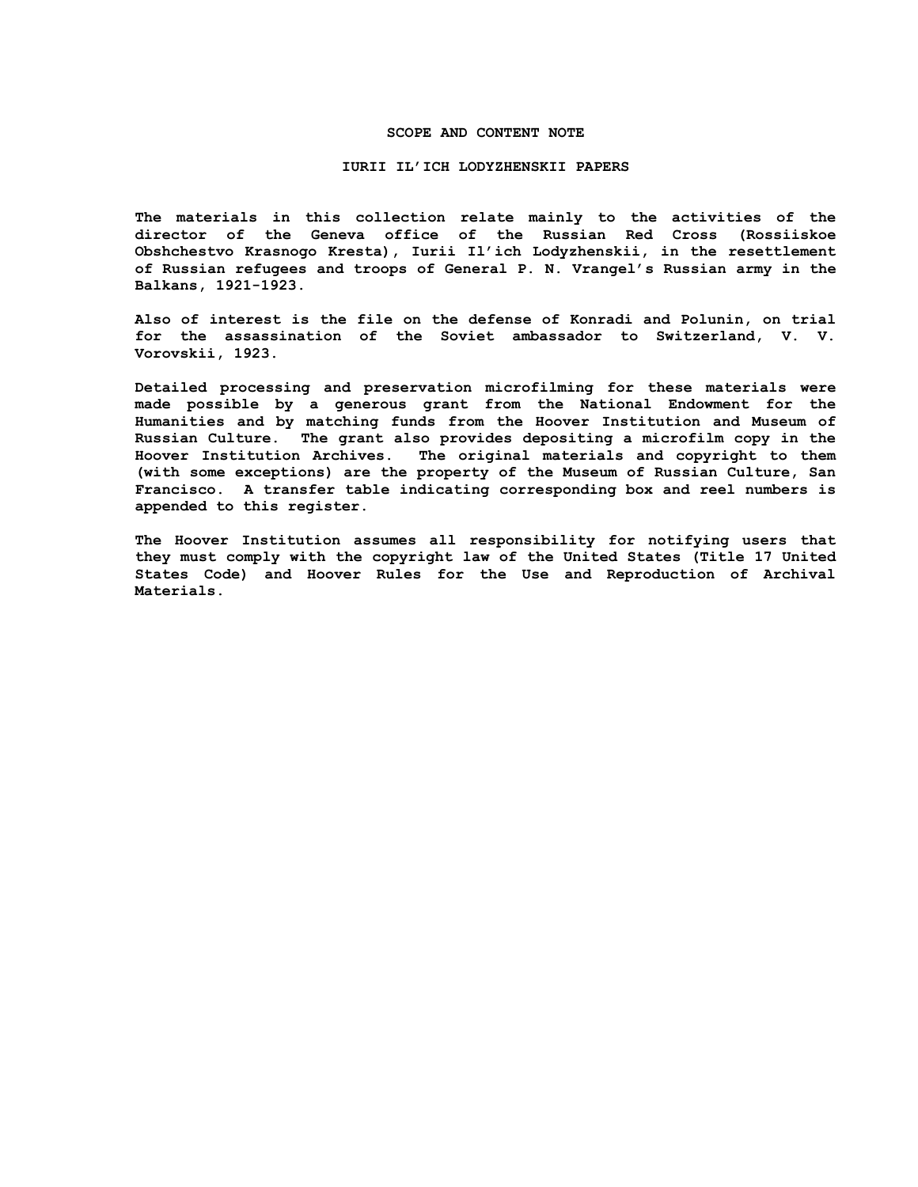### **SCOPE AND CONTENT NOTE**

#### **IURII IL'ICH LODYZHENSKII PAPERS**

**The materials in this collection relate mainly to the activities of the director of the Geneva office of the Russian Red Cross (Rossiiskoe Obshchestvo Krasnogo Kresta), Iurii Il'ich Lodyzhenskii, in the resettlement of Russian refugees and troops of General P. N. Vrangel's Russian army in the Balkans, 1921-1923.**

**Also of interest is the file on the defense of Konradi and Polunin, on trial for the assassination of the Soviet ambassador to Switzerland, V. V. Vorovskii, 1923.**

**Detailed processing and preservation microfilming for these materials were made possible by a generous grant from the National Endowment for the Humanities and by matching funds from the Hoover Institution and Museum of Russian Culture. The grant also provides depositing a microfilm copy in the Hoover Institution Archives. The original materials and copyright to them (with some exceptions) are the property of the Museum of Russian Culture, San Francisco. A transfer table indicating corresponding box and reel numbers is appended to this register.**

**The Hoover Institution assumes all responsibility for notifying users that they must comply with the copyright law of the United States (Title 17 United States Code) and Hoover Rules for the Use and Reproduction of Archival Materials.**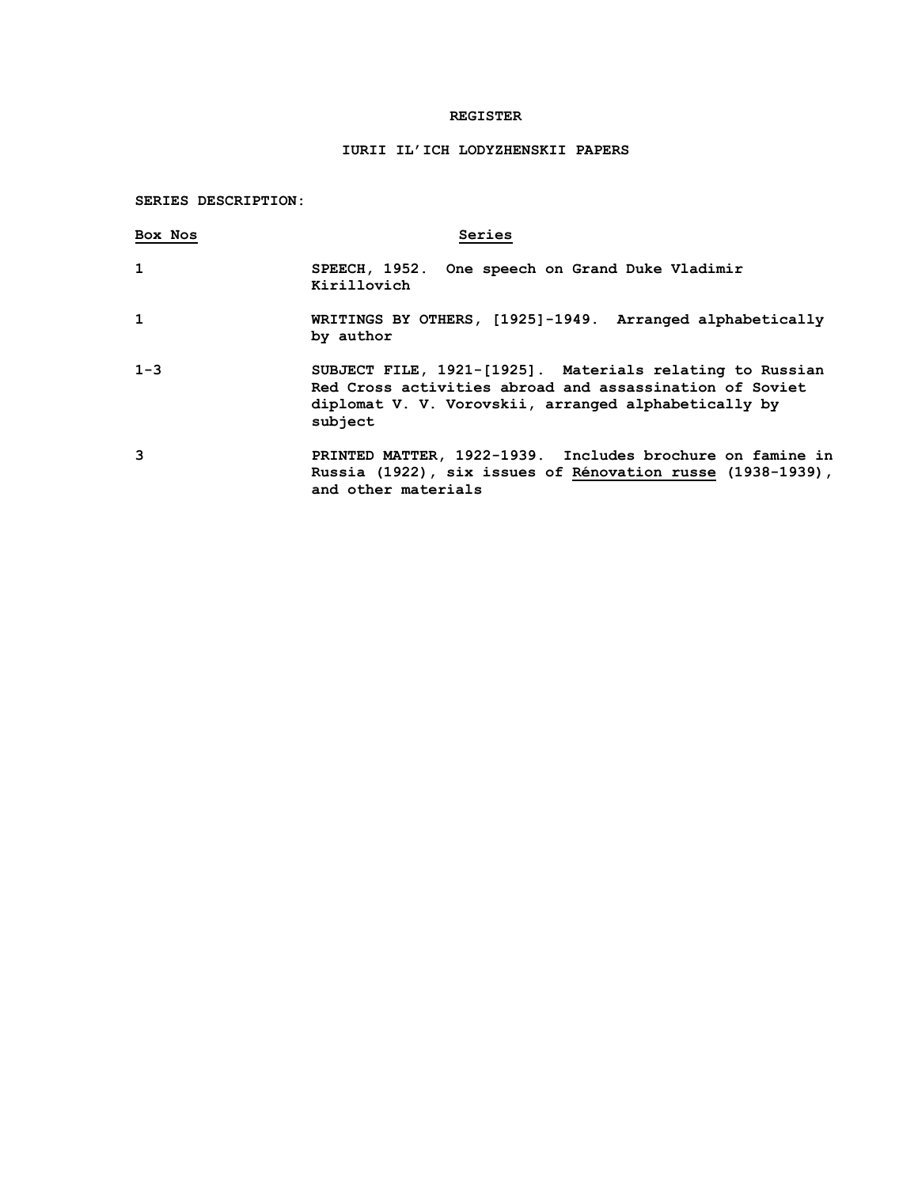## **REGISTER**

# **IURII IL'ICH LODYZHENSKII PAPERS**

## **SERIES DESCRIPTION:**

| Box Nos      | Series                                                                                                                                                                                 |
|--------------|----------------------------------------------------------------------------------------------------------------------------------------------------------------------------------------|
| $\mathbf{1}$ | SPEECH, 1952. One speech on Grand Duke Vladimir<br>Kirillovich                                                                                                                         |
| $\mathbf{1}$ | WRITINGS BY OTHERS, [1925]-1949. Arranged alphabetically<br>by author                                                                                                                  |
| $1 - 3$      | SUBJECT FILE, 1921-[1925]. Materials relating to Russian<br>Red Cross activities abroad and assassination of Soviet<br>diplomat V. V. Vorovskii, arranged alphabetically by<br>subject |
| 3            | PRINTED MATTER, 1922-1939. Includes brochure on famine in<br>Russia (1922), six issues of Rénovation russe (1938-1939),<br>and other materials                                         |